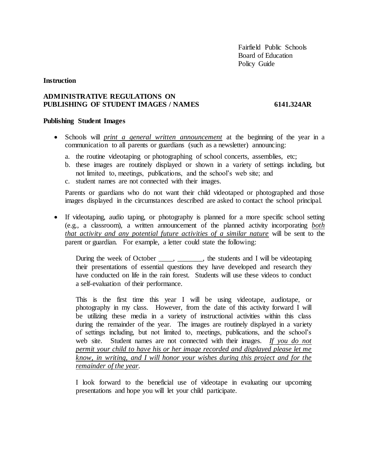Fairfield Public Schools Board of Education Policy Guide

# **Instruction**

# **ADMINISTRATIVE REGULATIONS ON PUBLISHING OF STUDENT IMAGES / NAMES 6141.324AR**

## **Publishing Student Images**

- Schools will *print a general written announcement* at the beginning of the year in a communication to all parents or guardians (such as a newsletter) announcing:
	- a. the routine videotaping or photographing of school concerts, assemblies, etc;
	- b. these images are routinely displayed or shown in a variety of settings including, but not limited to, meetings, publications, and the school's web site; and
	- c. student names are not connected with their images.

Parents or guardians who do not want their child videotaped or photographed and those images displayed in the circumstances described are asked to contact the school principal.

• If videotaping, audio taping, or photography is planned for a more specific school setting (e.g., a classroom), a written announcement of the planned activity incorporating *both that activity and any potential future activities of a similar nature* will be sent to the parent or guardian. For example, a letter could state the following:

During the week of October \_\_\_\_, \_\_\_\_\_\_\_, the students and I will be videotaping their presentations of essential questions they have developed and research they have conducted on life in the rain forest. Students will use these videos to conduct a self-evaluation of their performance.

This is the first time this year I will be using videotape, audiotape, or photography in my class. However, from the date of this activity forward I will be utilizing these media in a variety of instructional activities within this class during the remainder of the year. The images are routinely displayed in a variety of settings including, but not limited to, meetings, publications, and the school's web site. Student names are not connected with their images. *If you do not permit your child to have his or her image recorded and displayed please let me know, in writing, and I will honor your wishes during this project and for the remainder of the year.*

I look forward to the beneficial use of videotape in evaluating our upcoming presentations and hope you will let your child participate.